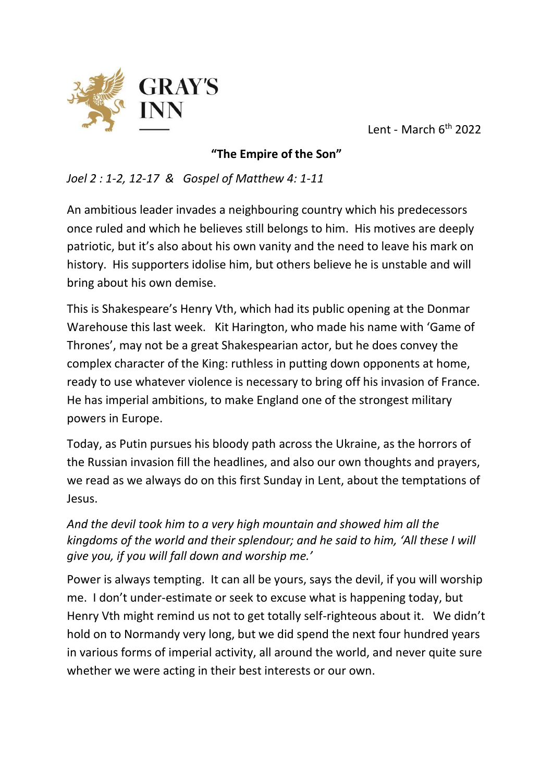

Lent - March 6th 2022

## **"The Empire of the Son"**

*Joel 2 : 1-2, 12-17 & Gospel of Matthew 4: 1-11*

An ambitious leader invades a neighbouring country which his predecessors once ruled and which he believes still belongs to him. His motives are deeply patriotic, but it's also about his own vanity and the need to leave his mark on history. His supporters idolise him, but others believe he is unstable and will bring about his own demise.

This is Shakespeare's Henry Vth, which had its public opening at the Donmar Warehouse this last week. Kit Harington, who made his name with 'Game of Thrones', may not be a great Shakespearian actor, but he does convey the complex character of the King: ruthless in putting down opponents at home, ready to use whatever violence is necessary to bring off his invasion of France. He has imperial ambitions, to make England one of the strongest military powers in Europe.

Today, as Putin pursues his bloody path across the Ukraine, as the horrors of the Russian invasion fill the headlines, and also our own thoughts and prayers, we read as we always do on this first Sunday in Lent, about the temptations of Jesus.

*And the devil took him to a very high mountain and showed him all the kingdoms of the world and their splendour; and he said to him, 'All these I will give you, if you will fall down and worship me.'*

Power is always tempting. It can all be yours, says the devil, if you will worship me. I don't under-estimate or seek to excuse what is happening today, but Henry Vth might remind us not to get totally self-righteous about it. We didn't hold on to Normandy very long, but we did spend the next four hundred years in various forms of imperial activity, all around the world, and never quite sure whether we were acting in their best interests or our own.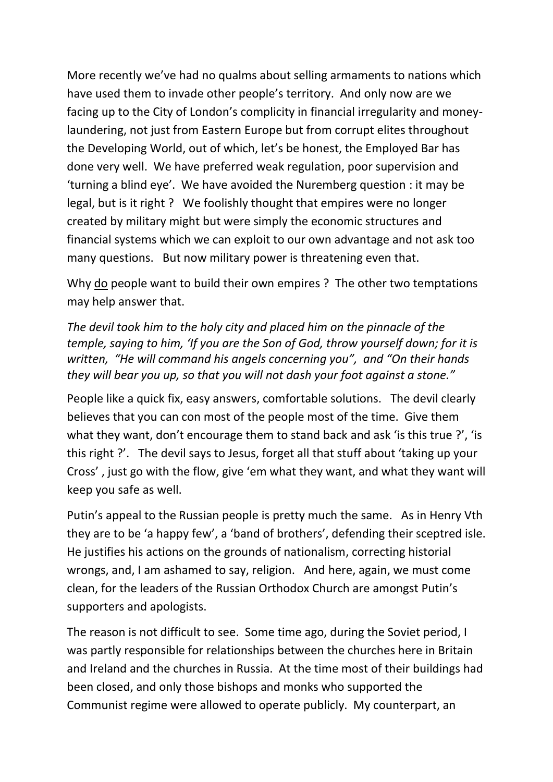More recently we've had no qualms about selling armaments to nations which have used them to invade other people's territory. And only now are we facing up to the City of London's complicity in financial irregularity and moneylaundering, not just from Eastern Europe but from corrupt elites throughout the Developing World, out of which, let's be honest, the Employed Bar has done very well. We have preferred weak regulation, poor supervision and 'turning a blind eye'. We have avoided the Nuremberg question : it may be legal, but is it right ? We foolishly thought that empires were no longer created by military might but were simply the economic structures and financial systems which we can exploit to our own advantage and not ask too many questions. But now military power is threatening even that.

Why do people want to build their own empires ? The other two temptations may help answer that.

*The devil took him to the holy city and placed him on the pinnacle of the temple, saying to him, 'If you are the Son of God, throw yourself down; for it is written, "He will command his angels concerning you", and "On their hands they will bear you up, so that you will not dash your foot against a stone."*

People like a quick fix, easy answers, comfortable solutions. The devil clearly believes that you can con most of the people most of the time. Give them what they want, don't encourage them to stand back and ask 'is this true ?', 'is this right ?'. The devil says to Jesus, forget all that stuff about 'taking up your Cross' , just go with the flow, give 'em what they want, and what they want will keep you safe as well.

Putin's appeal to the Russian people is pretty much the same. As in Henry Vth they are to be 'a happy few', a 'band of brothers', defending their sceptred isle. He justifies his actions on the grounds of nationalism, correcting historial wrongs, and, I am ashamed to say, religion. And here, again, we must come clean, for the leaders of the Russian Orthodox Church are amongst Putin's supporters and apologists.

The reason is not difficult to see. Some time ago, during the Soviet period, I was partly responsible for relationships between the churches here in Britain and Ireland and the churches in Russia. At the time most of their buildings had been closed, and only those bishops and monks who supported the Communist regime were allowed to operate publicly. My counterpart, an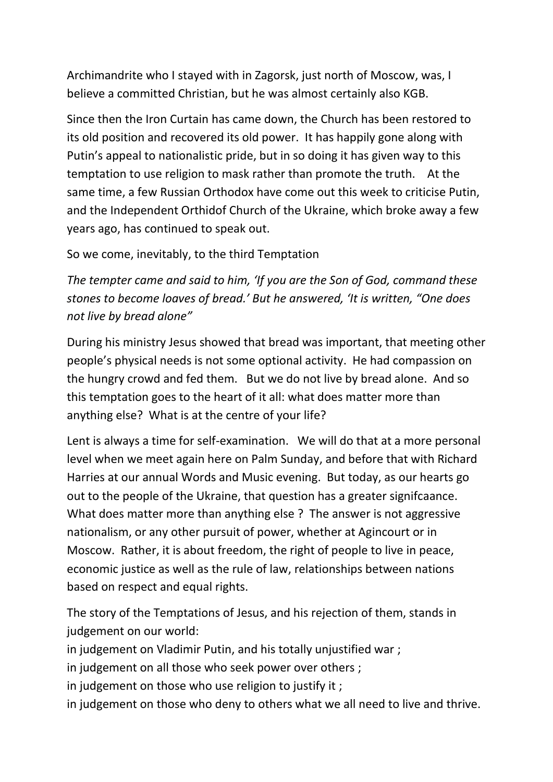Archimandrite who I stayed with in Zagorsk, just north of Moscow, was, I believe a committed Christian, but he was almost certainly also KGB.

Since then the Iron Curtain has came down, the Church has been restored to its old position and recovered its old power. It has happily gone along with Putin's appeal to nationalistic pride, but in so doing it has given way to this temptation to use religion to mask rather than promote the truth. At the same time, a few Russian Orthodox have come out this week to criticise Putin, and the Independent Orthidof Church of the Ukraine, which broke away a few years ago, has continued to speak out.

So we come, inevitably, to the third Temptation

*The tempter came and said to him, 'If you are the Son of God, command these stones to become loaves of bread.' But he answered, 'It is written, "One does not live by bread alone"*

During his ministry Jesus showed that bread was important, that meeting other people's physical needs is not some optional activity. He had compassion on the hungry crowd and fed them. But we do not live by bread alone. And so this temptation goes to the heart of it all: what does matter more than anything else? What is at the centre of your life?

Lent is always a time for self-examination. We will do that at a more personal level when we meet again here on Palm Sunday, and before that with Richard Harries at our annual Words and Music evening. But today, as our hearts go out to the people of the Ukraine, that question has a greater signifcaance. What does matter more than anything else ? The answer is not aggressive nationalism, or any other pursuit of power, whether at Agincourt or in Moscow. Rather, it is about freedom, the right of people to live in peace, economic justice as well as the rule of law, relationships between nations based on respect and equal rights.

The story of the Temptations of Jesus, and his rejection of them, stands in judgement on our world:

in judgement on Vladimir Putin, and his totally unjustified war ;

in judgement on all those who seek power over others ;

in judgement on those who use religion to justify it ;

in judgement on those who deny to others what we all need to live and thrive.